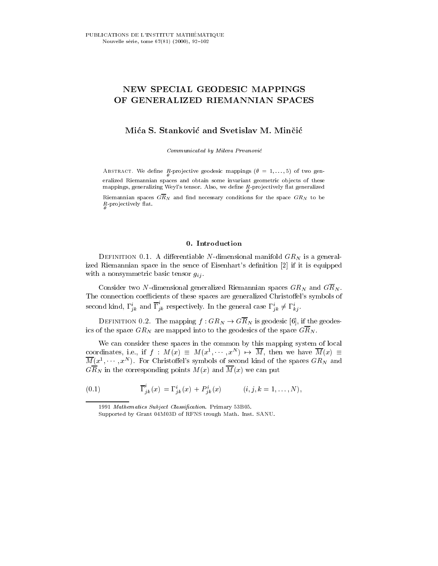# NEW SPECIAL GEODESIC MAPPINGS OF GENERALIZED RIEMANNIAN SPACES

## Mica S. Stankovic and Svetislav M. Mincic

Communicated by Mileva Prvanovic

Abstract. We dene <sup>R</sup> -pro jective geodesic mappings ( = 1; ... ; 5) of two gen eralized Riemannian spaces and obtain some invariant geometric ob jects of these mappings, generalizing Weyl's tensor. Also, we define  $R$ -projectively flat generalized

Riemannian spaces  $\overline{GR}_N$  and find necessary conditions for the space  $GR_N$  to be <sup>R</sup> -pro jectively 
at.

DEFINITION 0.1. A differentiable N-dimensional manifold  $GR_N$  is a generalized Riemannian space in the sence of Eisenhart's definition [2] if it is equipped with a nonsymmetric basic tensor  $g_{ij}$ .

Consider two N-dimensional generalized Riemannian spaces  $GR_N$  and  $G\overline{R}_N$ . The connection coefficients of these spaces are generalized Christoffel's symbols of second kind,  $\Gamma_{ik}^i$  and  $\Gamma_{ik}^i$  respectively. In the general case  $\Gamma_{ik}^i \neq \Gamma_{ki}^i$ .

DEFINITION 0.2. The mapping  $f:GR_N \to \widehat{GR}_N$  is geodesic [6], if the geodesics of the space  $GR_N$  are mapped into to the geodesics of the space  $G\overline{R}_N$ .

We can consider these spaces in the common by this mapping system of local coordinates, i.e., if  $f : M(x) = M(x^2, \dots, x^m) \mapsto M$ , then we have  $M(x) =$  $M(x^1, \dots, x^N)$ . For Christoffel's symbols of second kind of the spaces  $GR_N$  and GRAN IN THE CORRESPONDING POINTS ME (M) we can put  $\mathcal{N}(x)$  we can put put the MCCO

(0.1) 
$$
\overline{\Gamma}_{jk}^{i}(x) = \Gamma_{jk}^{i}(x) + P_{jk}^{i}(x) \qquad (i, j, k = 1, ..., N),
$$

<sup>1991</sup> Mathematics Subject Classification. Primary 53B05.

Supported by Grant 04M03D of RFNS trough Math. Inst. SANU.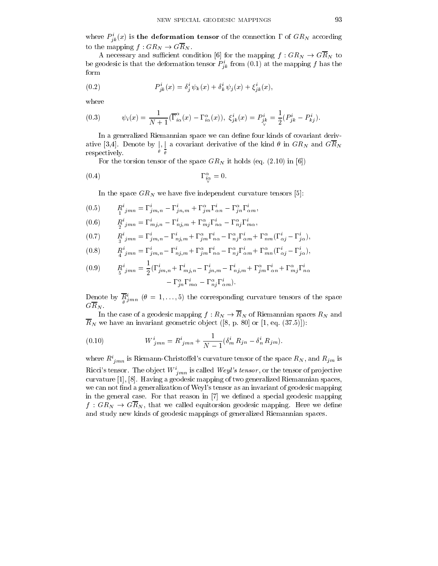where  $F_{ik}(x)$  is the deformation tensor of the connection 1 of  $G_{RN}$  according to the mapping  $f: GR_N \to G\overline{R}_N$ .

A necessary and sufficient condition [6] for the mapping  $f : GR_N \to \overline{GR}_N$  to be geodesic is that the deformation tensor  $F_{ik}$  from (0.1) at the mapping f has the form

(0.2) 
$$
P_{jk}^{i}(x) = \delta_{j}^{i} \psi_{k}(x) + \delta_{k}^{i} \psi_{j}(x) + \xi_{jk}^{i}(x),
$$

where

(0.3) 
$$
\psi_i(x) = \frac{1}{N+1} (\overline{\Gamma}_{i\alpha}^{\alpha}(x) - \Gamma_{i\alpha}^{\alpha}(x)), \ \xi_{jk}^i(x) = P_{j^k}^i = \frac{1}{2} (P_{jk}^i - P_{kj}^i).
$$

In a generalized Riemannian space we can define four kinds of covariant derivative [3,4]. Denote by ji]. A covariant delivative of the kind and Gravit clear of the Gravit Clear  $\sim$  11  $\sim$  11  $\sim$ respectively.

For the torsion tensor of the space  $GR_N$  it holds (eq. (2.10) in [6])

$$
\Gamma^{\alpha}_{\substack{i\alpha\\ \vee}} = 0.
$$

In the space  $GR_N$  we have five independent curvature tensors [5]:

$$
(0.5) \t\t R_{1\ jmn}^i = \Gamma_{jm,n}^i - \Gamma_{jn,m}^i + \Gamma_{jm}^\alpha \Gamma_{\alpha n}^i - \Gamma_{jn}^\alpha \Gamma_{\alpha m}^i,
$$

$$
(0.6) \t\t R_{\frac{j}{2}jmn}^{i} = \Gamma_{mj,n}^{i} - \Gamma_{nj,m}^{i} + \Gamma_{mj}^{\alpha} \Gamma_{n\alpha}^{i} - \Gamma_{nj}^{\alpha} \Gamma_{m\alpha}^{i},
$$

$$
(0.7) \tR_{3}^{i}{}_{jmn} = \Gamma_{jm,n}^{i} - \Gamma_{nj,m}^{i} + \Gamma_{jm}^{\alpha} \Gamma_{n\alpha}^{i} - \Gamma_{nj}^{\alpha} \Gamma_{\alpha m}^{i} + \Gamma_{nm}^{\alpha} (\Gamma_{\alpha j}^{i} - \Gamma_{j\alpha}^{i}),
$$

(0.8) 
$$
R^i_{jmn} = \Gamma^i_{jm,n} - \Gamma^i_{nj,m} + \Gamma^\alpha_{jm}\Gamma^i_{n\alpha} - \Gamma^\alpha_{nj}\Gamma^i_{\alpha m} + \Gamma^\alpha_{mn}(\Gamma^i_{\alpha j} - \Gamma^i_{j\alpha}),
$$

(0.9) 
$$
R^i_{\substack{j,mn}} = \frac{1}{2} (\Gamma^i_{jm,n} + \Gamma^i_{mj,n} - \Gamma^i_{jn,m} - \Gamma^i_{nj,m} + \Gamma^{\alpha}_{jm} \Gamma^i_{\alpha n} + \Gamma^{\alpha}_{mj} \Gamma^i_{n\alpha} - \Gamma^{\alpha}_{jn} \Gamma^i_{m\alpha} - \Gamma^{\alpha}_{nj} \Gamma^i_{\alpha m}).
$$

Denote by  $R_{jmn}$  ( $\sigma = 1, \ldots, 5$ ) the corresponding curvature tensors of the space  $GR_N$  .

In the case of a geodesic mapping  $f: R_N \to \overline{R}_N$  of Riemannian spaces  $R_N$  and  $\overline{R}_N$  we have an invariant geometric object ([8, p. 80] or [1, eq. (37.5)]):

(0.10) 
$$
W^{i}_{jmn} = R^{i}_{jmn} + \frac{1}{N-1} (\delta^{i}_{m} R_{jn} - \delta^{i}_{n} R_{jm}).
$$

where  $R^i_{jmn}$  is Riemann-Christoffel's curvature tensor of the space  $R_N$ , and  $R_{jm}$  is Ricci's tensor. The object  $W^i_{mn}$  is called *Weyl's tensor*, or the tensor of projective curvature [1], [8]. Having a geodesic mapping of two generalized Riemannian spaces, we can not find a generalization of Weyl's tensor as an invariant of geodesic mapping in the general case. For that reason in [7] we defined a special geodesic mapping  $f$  : Growled equitorsion is the called equitorsion for a mapping. Here we describe  $\alpha$ and study new kinds of geodesic mappings of generalized Riemannian spaces.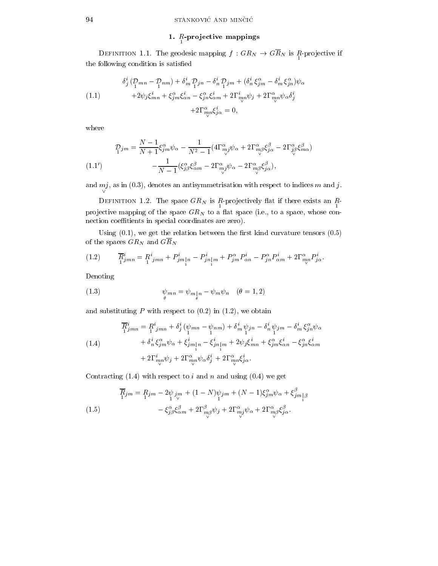#### $1.$   $R$  projective mappings

 $-$  1.1.1.The geodesic mapping finite if  $\alpha$  is really in Results in Results in Terms in Results in Results in Results in Results in Results in Results in Results in Results in Results in Results in Results in Results in the following condition is satisfied

(1.1)  
\n
$$
\delta_j^i \left( \frac{p_{mn} - p_{nm}}{1} \right) + \delta_m^i \frac{p_{jn} - \delta_n^i}{1} \frac{p_{jm}}{1} + (\delta_n^i \xi_{jm}^{\alpha} - \delta_m^i \xi_{jn}^{\alpha}) \psi_{\alpha} \n+ 2 \psi_j \xi_{mn}^i + \xi_{jm}^{\alpha} \xi_{\alpha n}^i - \xi_{jn}^{\alpha} \xi_{\alpha m}^i + 2 \Gamma_{mn}^i \psi_j + 2 \Gamma_{mn}^{\alpha} \psi_{\alpha} \delta_j^i \n+ 2 \Gamma_{mn}^{\alpha} \xi_{j\alpha}^i = 0,
$$

where

$$
\begin{aligned} \mathcal{D}_{1}^{j m} &= \frac{N-1}{N+1} \xi_{j m}^{\alpha} \psi_{\alpha} - \frac{1}{N^{2}-1} (4 \Gamma_{mj}^{\alpha} \psi_{\alpha} + 2 \Gamma_{mj}^{\alpha} \xi_{j \alpha}^{\beta} - 2 \Gamma_{j \beta}^{\alpha} \xi_{m \alpha}^{\beta}) \\ &- \frac{1}{N-1} (\xi_{j \beta}^{\alpha} \xi_{\alpha m}^{\beta} - 2 \Gamma_{mj}^{\alpha} \psi_{\alpha} - 2 \Gamma_{mj}^{\alpha} \xi_{j \alpha}^{\beta}), \end{aligned}
$$

and mj, as in (0.3), denotes an antisymmetric with with respect to indices m and j.

 $\sim$  dimension  $\sim$  . The space Grop is R is projectively from it there exists an R  $\sim$ productive mapping of the space GRN to a space GRN to a space  $\alpha$  , to a space  $\beta$  interest connection coeffitients in special coordinates are zero).

Using  $(0.1)$ , we get the relation between the first kind curvature tensors  $(0.5)$ of the spaces  $GR_N$  and  $GR_N$ 

(1.2) 
$$
\overline{R}_{jmn}^i = R_{jmn}^i + P_{jm|n}^i - P_{jn|m}^i + P_{jm}^\alpha P_{\alpha n}^i - P_{jn}^\alpha P_{\alpha m}^i + 2\Gamma_{mp}^\alpha P_{j\alpha}^i.
$$

Denoting

(1.3) 
$$
\psi_{mn} = \psi_{m}{}_{\vert n} - \psi_m \psi_n \quad (\theta = 1, 2)
$$

and substituting  $P$  with respect to  $(0.2)$  in  $(1.2)$ , we obtain

(1.4)  
\n
$$
\overline{R}_{jmn}^i = R_{jmn}^i + \delta_j^i (\psi_{mn} - \psi_{nm}) + \delta_m^i \psi_{jn} - \delta_n^i \psi_{jm} - \delta_m^i \xi_{jn}^\alpha \psi_\alpha
$$
\n
$$
+ \delta_n^i \xi_{jm}^\alpha \psi_\alpha + \xi_{jm\vert n}^i - \xi_{jn\vert m}^i + 2\psi_j \xi_{mn}^i + \xi_{jm}^\alpha \xi_{\alpha n}^i - \xi_{jn}^\alpha \xi_{\alpha m}^i
$$
\n
$$
+ 2\Gamma_{m,n}^i \psi_j + 2\Gamma_{m,n}^\alpha \psi_\alpha \delta_j^i + 2\Gamma_{m,n}^\alpha \xi_{j\alpha}^i.
$$

Contracting  $(1.4)$  with respect to i and n and using  $(0.4)$  we get

(1.5) 
$$
\overline{R}_{jm} = R_{jm} - 2\psi_{jm} + (1 - N)\psi_{jm} + (N - 1)\xi_{jm}^{\alpha}\psi_{\alpha} + \xi_{jm}^{\beta} \\ - \xi_{j\beta}^{\alpha}\xi_{\alpha m}^{\beta} + 2\Gamma_{m\beta}^{\beta}\psi_{j} + 2\Gamma_{mj}^{\alpha}\psi_{\alpha} + 2\Gamma_{m\beta}^{\alpha}\xi_{j\alpha}^{\beta}.
$$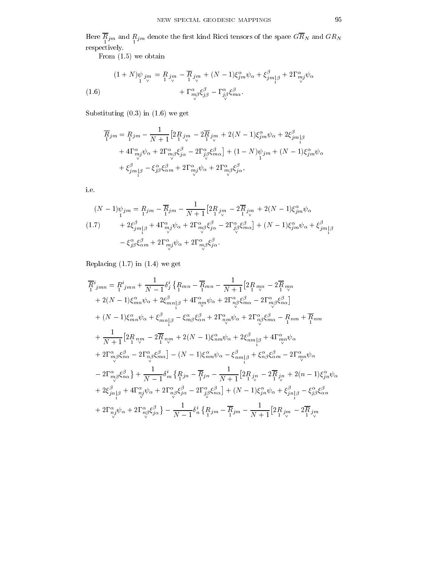$\frac{1}{1}$ jm and  $\frac{1}{1}$ jm denote the space dina Ricci tensors of the space Green Green Green Green respectively.

From  $(1.5)$  we obtain

(1.6)  
\n
$$
(1+N)\psi_{jm} = R_{j_m} - \overline{R}_{j_m} + (N-1)\xi_{jm}^{\alpha}\psi_{\alpha} + \xi_{jm}^{\beta} + 2\Gamma_{mj}^{\alpha}\psi_{\alpha} + \Gamma_{mj}^{\alpha}\xi_{j\beta}^{\beta} - \Gamma_{j\beta}^{\alpha}\xi_{m\alpha}^{\beta}.
$$
\n
$$
(1.6)
$$

Substituting (0.3) in (1.6) we get

$$
\overline{R}_{jm} = R_{jm} - \frac{1}{N+1} \left[ 2R_{jm} - 2\overline{R}_{jm} + 2(N-1)\xi_{jm}^{\alpha}\psi_{\alpha} + 2\xi_{jm}^{\beta}\right] \n+ 4\Gamma_{mj}^{\alpha}\psi_{\alpha} + 2\Gamma_{mj}^{\alpha}\xi_{j\alpha}^{\beta} - 2\Gamma_{jj}^{\alpha}\xi_{m\alpha}^{\beta}\right] + (1-N)\psi_{jm} + (N-1)\xi_{jm}^{\alpha}\psi_{\alpha} \n+ \xi_{jm}^{\beta} - \xi_{jj}^{\alpha}\xi_{\alpha m}^{\beta} + 2\Gamma_{mj}^{\alpha}\psi_{\alpha} + 2\Gamma_{mj}^{\alpha}\xi_{j\alpha}^{\beta},
$$

i.e.

$$
(N-1)\psi_{jm} = R_{jm} - \overline{R}_{jm} - \frac{1}{N+1} \left[ 2R_{j\stackrel{m}{\nu}} - 2\overline{R}_{j\stackrel{m}{\nu}} + 2(N-1)\xi_{jm}^{\alpha}\psi_{\alpha} \right]
$$
  

$$
(1.7) \qquad + 2\xi_{jm}^{\beta}{}_{|\beta} + 4\Gamma_{mj}^{\alpha}\psi_{\alpha} + 2\Gamma_{mj}^{\alpha}\xi_{j\alpha}^{\beta} - 2\Gamma_{j\stackrel{\alpha}{\beta}}^{\alpha}\xi_{m\alpha}^{\beta} \right] + (N-1)\xi_{jm}^{\alpha}\psi_{\alpha} + \xi_{jm}^{\beta}{}_{|\beta}
$$
  

$$
- \xi_{j\beta}^{\alpha}\xi_{\alpha m}^{\beta} + 2\Gamma_{mj}^{\alpha}\psi_{\alpha} + 2\Gamma_{mj}^{\alpha}\xi_{j\alpha}^{\beta}.
$$

Replacing (1.7) in (1.4) we get

$$
\overline{R}^i_{jmn} = R^i_{jmn} + \frac{1}{N-1} \delta^i_j \left\{ R_{mn} - \overline{R}_{mn} - \frac{1}{N+1} \left[ 2R_{mp} - 2\overline{R}_{mp} \right. \right.\n+ 2(N-1)\xi^{\alpha}_{mn}\psi_{\alpha} + 2\xi^{\beta}_{mn}{}_{\vert \beta} + 4\Gamma^{\alpha}_{mp}\psi_{\alpha} + 2\Gamma^{\alpha}_{n\beta}\xi^{\beta}_{m\alpha} - 2\Gamma^{\alpha}_{m\beta}\xi^{\beta}_{n\alpha} \right.\n+ (N-1)\xi^{\alpha}_{mn}\psi_{\alpha} + \xi^{\beta}_{mn}{}_{\vert \beta} - \xi^{\alpha}_{m\beta}\xi^{\beta}_{m} + 2\Gamma^{\alpha}_{nm}\psi_{\alpha} + 2\Gamma^{\alpha}_{n\beta}\xi^{\beta}_{m\alpha} - R_{nm} + \overline{R}_{nm} \n+ \frac{1}{N+1} \left[ 2R_{nm} - 2\overline{R}_{nm} + 2(N-1)\xi^{\alpha}_{nm}\psi_{\alpha} + 2\xi^{\beta}_{nm}{}_{\vert \beta} + 4\Gamma^{\alpha}_{mp}\psi_{\alpha} \n+ 2\Gamma^{\alpha}_{m\beta}\xi^{\beta}_{n\alpha} - 2\Gamma^{\alpha}_{n\beta}\xi^{\beta}_{mn} \right] - (N-1)\xi^{\alpha}_{nm}\psi_{\alpha} - \xi^{\beta}_{nm}{}_{\vert \beta} + \xi^{\alpha}_{n\beta}\xi^{\beta}_{nm} - 2\Gamma^{\alpha}_{mn}\psi_{\alpha} \n- 2\Gamma^{\alpha}_{m\beta}\xi^{\beta}_{n\alpha} + \frac{1}{N-1} \delta^i_{m} \left\{ R_{jn} - \overline{R}_{jn} - \frac{1}{N+1} \left[ 2R_{jn} - 2\overline{R}_{jn} + 2(n-1)\xi^{\alpha}_{jn}\psi_{\alpha} \n+ 2\xi^{\beta}_{jn}{}_{\vert \beta} + 4\Gamma^{\alpha}_{nj}\psi_{\alpha} + 2\Gamma^{\alpha}_{n\beta}\xi^{\beta}_{jn} - 2\Gamma^{\alpha}_{j\beta}\xi^{\beta}_{n\alpha} \right] + (N-1)\xi^{\alpha}_{jn}\psi_{\alpha} + \xi^{\beta}_{jn}{}_{\vert \beta} - \xi^{\alpha}_{j\beta}\xi^{\beta}_{nn} \n+ 2\Gamma^{\alpha}_{nj
$$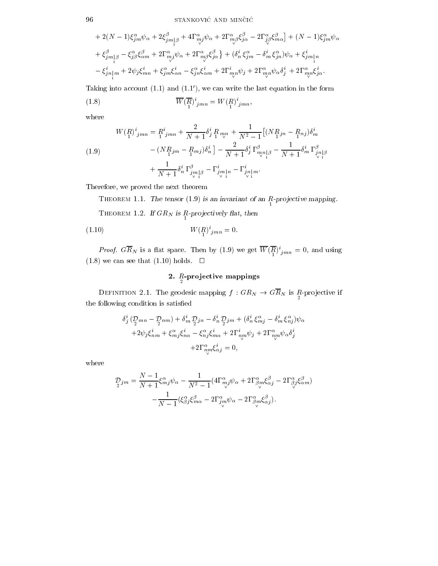$$
+ 2(N-1)\xi_{jm}^{\alpha}\psi_{\alpha} + 2\xi_{jm}^{\beta}{}_{\beta} + 4\Gamma_{mj}^{\alpha}\psi_{\alpha} + 2\Gamma_{mj}^{\alpha}\xi_{jn}^{\beta} - 2\Gamma_{j\beta}^{\alpha}\xi_{m\alpha}^{\beta}] + (N-1)\xi_{jm}^{\alpha}\psi_{\alpha} + \xi_{jm\beta}^{\beta} - \xi_{j\beta}^{\alpha}\xi_{\alpha m}^{\beta} + 2\Gamma_{mj}^{\alpha}\psi_{\alpha} + 2\Gamma_{mj}^{\alpha}\xi_{j\alpha}^{\beta}\} + (\delta_{n}^{i}\xi_{jm}^{\alpha} - \delta_{m}^{i}\xi_{jn}^{\alpha})\psi_{\alpha} + \xi_{jm\beta}^{i}{}_{n} - \xi_{jn\beta}^{i}{}_{m} + 2\psi_{j}\xi_{mn}^{i} + \xi_{jm}^{\alpha}\xi_{\alpha n}^{i} - \xi_{jn}^{\alpha}\xi_{\alpha m}^{i} + 2\Gamma_{mn}^{i}{}_{n}\psi_{j} + 2\Gamma_{mn}^{\alpha}\psi_{\alpha}\delta_{j}^{i} + 2\Gamma_{mn}^{\alpha}\xi_{j\alpha}^{i}.
$$

Taking into account  $(1.1)$  and  $(1.1')$ , we can write the last equation in the form

(1.8) 
$$
\overline{W}(\overline{R})^i_{jmn} = W(R)^i_{jmn},
$$

where

(1.9) W(R ) <sup>i</sup> jmn <sup>=</sup> <sup>R</sup> jmn <sup>+</sup> 2 + 1 <sup>i</sup> <sup>j</sup> <sup>R</sup> 1 mn \_ <sup>+</sup> 1 N<sup>2</sup> -(NR jn <sup>R</sup> 1 nj ) im (NR jm <sup>R</sup> 1 mj ) in 2 + 1 <sup>i</sup> <sup>j</sup> mn \_ j1 1 + 1 im jn \_ j1 + 1 + 1 in jm \_ j1 i jm \_ j1n <sup>i</sup> jn \_ j1m:

Therefore, we proved the next theorem

**THEOREM 1.1.** The tensor  $(1.9)$  is an invariant of an R-projective mapping.  $\frac{1}{2}$  HEOREM 1.2. If GRN is R-projectively mat, then

(1.10) 
$$
W(P_1)^{i}{}_{jmn} = 0.
$$

*Proof.* GRN is a flat space. Then by (1.9) we get  $W(\Lambda)_{jmn} = 0$ , and using (1.8) we can see that (1.10) holds.  $\Box$ 

#### $\Delta$ .  $R$ -projective mappings

 $\frac{1}{2}$  is defined an  $\frac{1}{2}$  . The geodesic mapping f  $\frac{1}{2}$  is  $\frac{1}{2}$  if  $\frac{1}{2}$  is  $\frac{1}{2}$  is  $\frac{1}{2}$  if  $\frac{1}{2}$  is  $\frac{1}{2}$  if  $\frac{1}{2}$  is  $\frac{1}{2}$  if  $\frac{1}{2}$  is  $\frac{1}{2}$  if  $\frac{1}{2}$  if  $\frac{1}{$ the following condition is satised

$$
\delta_j^i \left( \mathcal{D}_{mn} - \mathcal{D}_{nm} \right) + \delta_m^i \mathcal{D}_{jn} - \delta_n^i \mathcal{D}_{jm} + (\delta_n^i \xi_{mj}^\alpha - \delta_m^i \xi_{nj}^\alpha) \psi_\alpha \n+ 2 \psi_j \xi_{nm}^i + \xi_{mj}^\alpha \xi_{n\alpha}^i - \xi_{nj}^\alpha \xi_{m\alpha}^i + 2 \Gamma_{nm}^i \psi_j + 2 \Gamma_{nm}^\alpha \psi_\alpha \delta_j^i \n+ 2 \Gamma_{nm}^\alpha \xi_{\alpha j}^i = 0,
$$

where

$$
\mathcal{D}_{j\acute{m}} = \frac{N-1}{N+1} \xi^{\alpha}_{mj} \psi_{\alpha} - \frac{1}{N^2-1} (4\Gamma^{\alpha}_{mj} \psi_{\alpha} + 2\Gamma^{\alpha}_{\beta m} \xi^{\beta}_{\alpha j} - 2\Gamma^{\alpha}_{\beta j} \xi^{\beta}_{\alpha m}) - \frac{1}{N-1} (\xi^{\alpha}_{\beta j} \xi^{\beta}_{m\alpha} - 2\Gamma^{\alpha}_{j\acute{\alpha}} \psi_{\alpha} - 2\Gamma^{\alpha}_{\beta m} \xi^{\beta}_{\alpha j}).
$$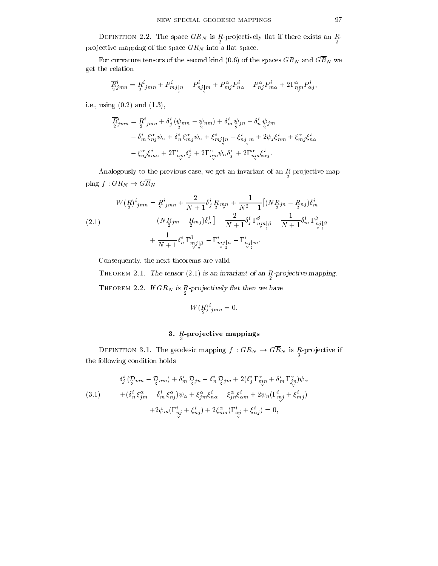-pro jectively and space Gravely is averaged in the space of the space of the space  $\sim$ pro jective mapping processes the space. We would consider the space GRN into a space  $\alpha$ 

For curvature tensors of the second kind (0.6) of the spaces  $GR_N$  and  $G\overline{R}_N$  we get the relation

$$
\overline{R}^i_{2jmn} = R^i_{2jmn} + P^i_{mj\vert n} - P^i_{nj\vert m} + P^\alpha_{mj} P^i_{n\alpha} - P^\alpha_{nj} P^i_{m\alpha} + 2\Gamma^\alpha_{\nu\sigma} P^i_{\alpha j},
$$

i.e., using (0.2) and (1.3),

$$
\overline{R}_{2\, jmn}^{i} = \frac{R}{2}^{i}{}_{jmn} + \delta_{j}^{i} (\psi_{mn} - \psi_{nm}) + \delta_{m}^{i} \psi_{jn} - \delta_{n}^{i} \psi_{jm}
$$
\n
$$
- \delta_{m}^{i} \xi_{nj}^{\alpha} \psi_{\alpha} + \delta_{n}^{i} \xi_{mj}^{\alpha} \psi_{\alpha} + \xi_{mj}^{i}{}_{|n} - \xi_{nj}^{i}{}_{|m} + 2\psi_{j}\xi_{nm}^{i} + \xi_{mj}^{\alpha}\xi_{n\alpha}^{i}
$$
\n
$$
- \xi_{nj}^{\alpha}\xi_{m\alpha}^{i} + 2\Gamma_{nm}^{i} \delta_{j}^{i} + 2\Gamma_{nm}^{\alpha} \psi_{\alpha} \delta_{j}^{i} + 2\Gamma_{nm}^{\alpha}\xi_{\alpha j}^{i}.
$$

Analogously to the previous case, we get an invariant of an <sup>R</sup> -pro jective mapping  $f:GR_N \to G\overline{R}_N$ 

$$
W\left(\underset{2}{R}\right)^{i}{}_{jmn} = \underset{2}{R}^{i}{}_{jmn} + \frac{2}{N+1} \delta^{i}_{j} \underset{2}{R}{}_{m,n} + \frac{1}{N^{2}-1} \left[ (N \underset{2}{R}{}_{jn} - \underset{2}{R}{}_{nj}) \delta^{i}_{m} \right] - (N \underset{2}{R}{}_{jm} - \underset{2}{R}{}_{mj}) \delta^{i}_{n} \left] - \frac{2}{N+1} \delta^{i}_{j} \Gamma^{{\beta}_{n}}{}_{m}{}_{n}{}_{\beta} - \frac{1}{N+1} \delta^{i}_{m} \Gamma^{{\beta}_{nj}}{}_{\beta} \right) + \frac{1}{N+1} \delta^{i}_{n} \Gamma^{{\beta}_{nj}}{}_{n}{}_{\gamma}{}_{2}{}^{\beta} - \Gamma^{i}_{mj}{}_{n}{}_{n} - \Gamma^{i}_{nj}{}_{n}{}_{n}.
$$

Consequently, the next theorems are valid

Theorem 2.1. The tensor (2:1) is an invariant of an <sup>R</sup> -pro jective mapping.I HEOREM 2.2. If GIV is R-projectively hat then we have

$$
W\left(\underset{2}{R}\right)^{i}{}_{jmn} = 0.
$$

### $\mathbf{J}$ .  $R$ -projective mappings

 $\frac{3}{3}$  frequences if  $\frac{3}{3}$  if  $\frac{3}{3}$  if  $\frac{3}{3}$  if  $\frac{3}{3}$  if  $\frac{3}{3}$  if  $\frac{3}{3}$  if  $\frac{3}{3}$  if  $\frac{3}{3}$ the following condition holds

(3.1) 
$$
\delta_j^i \left( \mathcal{D}_{mn} - \mathcal{D}_{nm} \right) + \delta_m^i \mathcal{D}_{jn} - \delta_n^i \mathcal{D}_{jm} + 2(\delta_j^i \Gamma_{mp}^{\alpha} + \delta_m^i \Gamma_{jn}^{\alpha}) \psi_{\alpha} + (\delta_n^i \xi_{jm}^{\alpha} - \delta_m^i \xi_{nj}^{\alpha}) \psi_{\alpha} + \xi_{jm}^{\alpha} \xi_{n\alpha}^i - \xi_{jn}^{\alpha} \xi_{\alpha m}^i + 2 \psi_n (\Gamma_{mj}^i + \xi_{mj}^i) + 2 \psi_m (\Gamma_{nj}^i + \xi_{nj}^i) + 2 \xi_{nm}^{\alpha} (\Gamma_{\alpha j}^i + \xi_{\alpha j}^i) = 0,
$$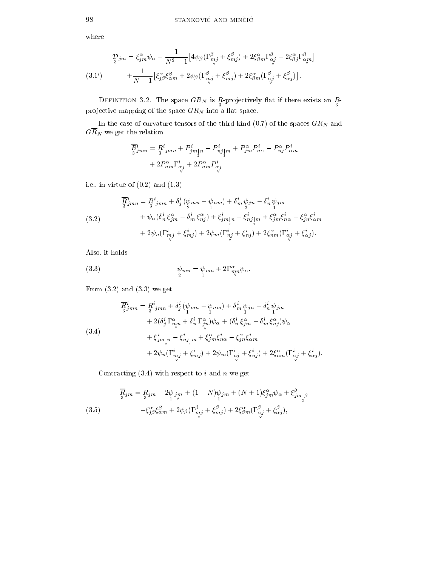where

$$
Q_{j\,m} = \xi_{jm}^{\alpha}\psi_{\alpha} - \frac{1}{N^2 - 1}\left[4\psi_{\beta}(\Gamma_{mj}^{\beta} + \xi_{mj}^{\beta}) + 2\xi_{\beta m}^{\alpha}\Gamma_{\alpha j}^{\beta} - 2\xi_{\beta j}^{\alpha}\Gamma_{\alpha m}^{\beta}\right] \n+ \frac{1}{N - 1}\left[\xi_{j\beta}^{\alpha}\xi_{\alpha m}^{\beta} + 2\psi_{\beta}(\Gamma_{mj}^{\beta} + \xi_{mj}^{\beta}) + 2\xi_{\beta m}^{\alpha}(\Gamma_{\alpha j}^{\beta} + \xi_{\alpha j}^{\beta})\right].
$$
\n(3.1')

 $\frac{3}{3}$  proposed  $\frac{3}{3}$  proposed  $\frac{3}{3}$  proposed  $\frac{3}{3}$ projective mapping of the space  $GR_N$  into a flat space.

In the case of curvature tensors of the third kind (0.7) of the spaces  $GR_N$  and  $G\overline{R}_{N}$  we get the relation

$$
\overline{R}^i_{\overline{3}}_{\overline{3}}{}_{\overline{3}}{}_{\overline{3}}{}_{\overline{3}}{}_{\overline{3}}{}_{\overline{3}}{}_{\overline{3}}{}_{\overline{3}}{}_{\overline{3}}{}_{\overline{3}}{}_{\overline{3}}{}_{\overline{3}}{}_{\overline{3}}{}_{\overline{3}}{}_{\overline{3}}{}_{\overline{3}}{}_{\overline{3}}{}_{\overline{3}}{}_{\overline{3}}{}_{\overline{3}}{}_{\overline{3}}{}_{\overline{3}}{}_{\overline{3}}{}_{\overline{3}}{}_{\overline{3}}{}_{\overline{3}}{}_{\overline{3}}{}_{\overline{3}}{}_{\overline{3}}{}_{\overline{3}}{}_{\overline{3}}{}_{\overline{3}}{}_{\overline{3}}{}_{\overline{3}}{}_{\overline{3}}{}_{\overline{3}}{}_{\overline{3}}{}_{\overline{3}}{}_{\overline{3}}{}_{\overline{3}}{}_{\overline{3}}{}_{\overline{3}}{}_{\overline{3}}{}_{\overline{3}}{}_{\overline{3}}{}_{\overline{3}}{}_{\overline{3}}{}_{\overline{3}}{}_{\overline{3}}{}_{\overline{3}}{}_{\overline{3}}{}_{\overline{3}}{}_{\overline{3}}{}_{\overline{3}}{}_{\overline{3}}{}_{\overline{3}}{}_{\overline{3}}{}_{\overline{3}}{}_{\overline{3}}{}_{\overline{3}}{}_{\overline{3}}{}_{\overline{3}}
$$

i.e., in virtue of  $(0.2)$  and  $(1.3)$ 

(3.2)  
\n
$$
\overline{R}_{jmn}^{i} = \frac{R}{3}^{i}{}_{jmn} + \delta_{j}^{i} (\psi_{mn} - \psi_{nm}) + \delta_{m}^{i} \psi_{jn} - \delta_{n}^{i} \psi_{jm}
$$
\n
$$
+ \psi_{\alpha} (\delta_{n}^{i} \xi_{jm}^{\alpha} - \delta_{m}^{i} \xi_{nj}^{\alpha}) + \xi_{jm}^{i}{}_{[n} - \xi_{nj}^{i}{}_{[m} + \xi_{jm}^{\alpha} \xi_{n\alpha}^{i} - \xi_{jn}^{\alpha} \xi_{\alpha m}^{i}
$$
\n
$$
+ 2\psi_{n} (\Gamma_{mj}^{i} + \xi_{mj}^{i}) + 2\psi_{m} (\Gamma_{nj}^{i} + \xi_{nj}^{i}) + 2\xi_{nm}^{\alpha} (\Gamma_{\alpha}^{i} + \xi_{\alpha}^{i}).
$$

Also, it holds

(3.3) 
$$
\psi_{mn} = \psi_{mn} + 2\Gamma^{\alpha}_{mn}\psi_{\alpha}.
$$

From  $(3.2)$  and  $(3.3)$  we get

(3.4)  
\n
$$
\overline{R}_{jmn}^{i} = R_{j\, jmn}^{i} + \delta_{j}^{i} (\psi_{mn} - \psi_{nm}) + \delta_{m}^{i} \psi_{jn} - \delta_{n}^{i} \psi_{jm}
$$
\n
$$
+ 2(\delta_{j}^{i} \Gamma_{mn}^{\alpha} + \delta_{n}^{i} \Gamma_{jn}^{\alpha}) \psi_{\alpha} + (\delta_{n}^{i} \xi_{jm}^{\alpha} - \delta_{m}^{i} \xi_{nj}^{\alpha}) \psi_{\alpha}
$$
\n
$$
+ \xi_{jm}^{i} \Big|_{n} - \xi_{nj}^{i} \Big|_{m} + \xi_{jm}^{\alpha} \xi_{n\alpha}^{i} - \xi_{jn}^{\alpha} \xi_{\alpha m}^{i}
$$
\n
$$
+ 2\psi_{n} (\Gamma_{mj}^{i} + \xi_{mj}^{i}) + 2\psi_{m} (\Gamma_{nj}^{i} + \xi_{nj}^{i}) + 2\xi_{nm}^{\alpha} (\Gamma_{\alpha j}^{i} + \xi_{\alpha j}^{i}).
$$

Contracting  $(3.4)$  with respect to i and n we get

(3.5)  
\n
$$
\overline{R}_{jm} = R_{jm} - 2\psi_{jm} + (1 - N)\psi_{jm} + (N + 1)\xi_{jm}^{\alpha}\psi_{\alpha} + \xi_{jm\beta}^{\beta}
$$
\n
$$
- \xi_{j\beta}^{\alpha}\xi_{\alpha m}^{\beta} + 2\psi_{\beta}(\Gamma_{mj}^{\beta} + \xi_{mj}^{\beta}) + 2\xi_{\beta m}^{\alpha}(\Gamma_{\alpha j}^{\beta} + \xi_{\alpha j}^{\beta}),
$$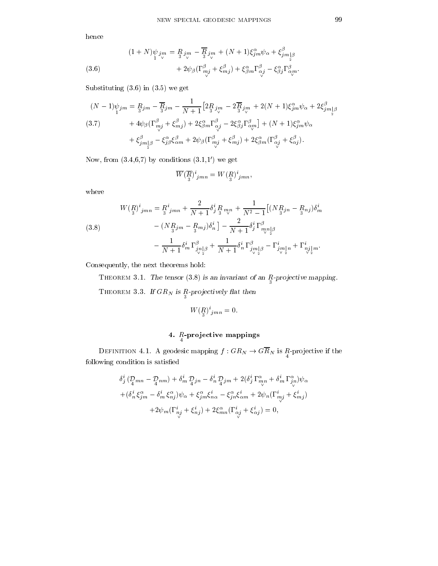hence

(3.6) 
$$
(1+N)\psi_{jm} = \underset{1}{R}_{j_m} - \overline{\underset{3}{R}}_{j_m} + (N+1)\xi_{jm}^{\alpha}\psi_{\alpha} + \xi_{jm}^{\beta}\psi_{\beta} + \xi_{jm}^{\beta}\psi_{\beta} + 2\psi_{\beta}(\Gamma_{mj}^{\beta} + \xi_{mj}^{\beta}) + \xi_{jm}^{\alpha}\Gamma_{\alpha j}^{\beta} - \xi_{\beta j}^{\alpha}\Gamma_{\alpha j}^{\beta}.
$$

Substituting (3.6) in (3.5) we get

$$
(N-1)\psi_{jm} = R_{j\dot{m}} - \overline{R}_{j\dot{m}} - \frac{1}{N+1} \left[ 2R_{j\dot{m}} - 2\overline{R}_{j\dot{m}} + 2(N+1)\xi_{jm}^{\alpha}\psi_{\alpha} + 2\xi_{jm\beta}^{\beta}\right]
$$
  
\n
$$
(3.7) \qquad + 4\psi_{\beta}(\Gamma_{mj}^{\beta} + \xi_{mj}^{\beta}) + 2\xi_{\beta m}^{\alpha}\Gamma_{\alpha j}^{\beta} - 2\xi_{\beta j}^{\alpha}\Gamma_{\alpha m}^{\beta}\right] + (N+1)\xi_{jm}^{\alpha}\psi_{\alpha}
$$
  
\n
$$
+ \xi_{jm\beta}^{\beta} - \xi_{j\beta}^{\alpha}\xi_{\alpha m}^{\beta} + 2\psi_{\beta}(\Gamma_{mj}^{\beta} + \xi_{mj}^{\beta}) + 2\xi_{\beta m}^{\alpha}(\Gamma_{\alpha j}^{\beta} + \xi_{\alpha j}^{\beta}).
$$

Now, from  $(3.4,6,7)$  by conditions  $(3.1,1')$  we get

$$
\overline{W}(\overline{R})^i_{jmn} = W(R)^i_{jmn},
$$

where

(3.8)  
\n
$$
W\left(\frac{R}{3}\right)^{i}_{jmn} = \frac{R^{i}_{jmn} + \frac{2}{N+1} \delta^{i}_{j} \frac{R}{3} m_{v} + \frac{1}{N^{2}-1} \left[ (N\frac{R}{3}j_{n} - \frac{R}{3}n_{j}) \delta^{i}_{m} - (N\frac{R}{3}j_{m} - \frac{R}{3}n_{j}) \delta^{i}_{n} \right] - \frac{2}{N+1} \delta^{i}_{j} \Gamma^{{\beta}_{m} n_{p} \beta} - \frac{1}{N+1} \delta^{i}_{m} \Gamma^{{\beta}_{m} \beta}_{\frac{1}{\sqrt{2}}} + \frac{1}{N+1} \delta^{i}_{n} \Gamma^{{\beta}_{m} \beta}_{\frac{1}{\sqrt{2}}} - \Gamma^{i}_{j m} \left[ n + \Gamma^{i}_{\frac{1}{\sqrt{2}}} \right] m.
$$

Consequently, the next theorems hold:

Theorem 3.1. The tensor (3:8) is an invariant of an <sup>R</sup> -pro jective mapping.I HEOREM 3.3. If GRN is  $\frac{n-p}{3}$  declively hat then

$$
W\left(\underset{3}{R}\right)^{i}{}_{jmn}=0.
$$

# $\frac{n}{4}$ -projective mappings

 $\frac{1}{4}$  because mapping  $\frac{1}{4}$  : Gry  $\frac{1}{4}$  because if the set of the set of the set of the set of the set of the set of the set of the set of the set of the set of the set of the set of the set of the set of the following condition is satisfied

$$
\delta_j^i \left( \mathcal{D}_{mn} - \mathcal{D}_{nm} \right) + \delta_m^i \mathcal{D}_{jn} - \delta_n^i \mathcal{D}_{jm} + 2(\delta_j^i \Gamma_{mp}^{\alpha} + \delta_m^i \Gamma_{jn}^{\alpha}) \psi_{\alpha} \n+ (\delta_n^i \xi_{jm}^{\alpha} - \delta_m^i \xi_{nj}^{\alpha}) \psi_{\alpha} + \xi_{jm}^{\alpha} \xi_{n\alpha}^i - \xi_{jn}^{\alpha} \xi_{\alpha m}^i + 2 \psi_n (\Gamma_{mj}^i + \xi_{mj}^i) \n+ 2 \psi_m (\Gamma_{nj}^i + \xi_{nj}^i) + 2 \xi_{mn}^{\alpha} (\Gamma_{\alpha j}^i + \xi_{\alpha j}^i) = 0,
$$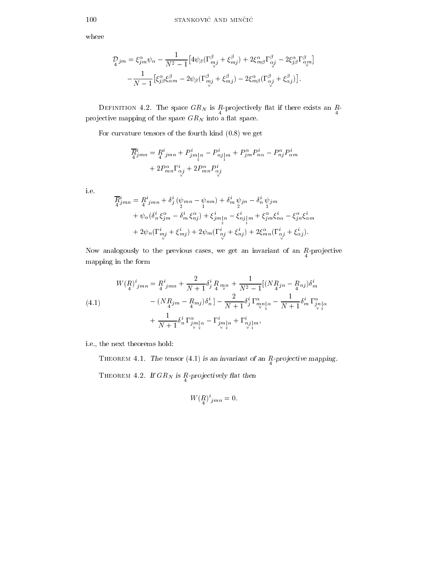where

$$
\begin{split} \mathcal{D}_{4}{}^{j m} &= \xi^{\alpha}_{j m} \psi_{\alpha} - \frac{1}{N^2-1} \big[ 4 \psi_{\beta} (\Gamma^{\beta}_{m j} + \xi^{\beta}_{m j}) + 2 \xi^{\alpha}_{m \beta} \Gamma^{\beta}_{\alpha j} - 2 \xi^{\alpha}_{j \beta} \Gamma^{\beta}_{\alpha m} \big] \\ &\quad - \frac{1}{N-1} \big[ \xi^{\alpha}_{j \beta} \xi^{\beta}_{\alpha m} - 2 \psi_{\beta} (\Gamma^{\beta}_{m j} + \xi^{\beta}_{m j}) - 2 \xi^{\alpha}_{m \beta} (\Gamma^{\beta}_{\alpha j} + \xi^{\beta}_{\alpha j}) \big]. \end{split}
$$

 $\frac{4}{4}$  projectively is the space of  $\frac{4}{4}$  if the space of  $\frac{4}{4}$ pro jective mapping processes the space. We would consider the space GRN into a space  $\alpha$ 

For curvature tensors of the fourth kind (0.8) we get

$$
\begin{aligned} \overline{R}^i_{4jm n} &= R^i_{4jm n} + P^i_{jm}{}_{[n} - P^i_{nj}{}_{[m} + P^{\alpha}_{jm} P^i_{n\alpha} - P^{\alpha}_{nj} P^i_{\alpha m} \\ &+ 2 P^{\alpha}_{mn} \Gamma^i_{\alpha j} + 2 P^{\alpha}_{mn} P^i_{\alpha j} \end{aligned}
$$

i.e.

$$
\overline{R}_{jmn}^{i} = R_{4\ jmn}^{i} + \delta_j^i (\psi_{mn} - \psi_{nm}) + \delta_m^i \psi_{jn} - \delta_n^i \psi_{jm}
$$
\n
$$
+ \psi_\alpha (\delta_n^i \xi_{jm}^\alpha - \delta_m^i \xi_{nj}^\alpha) + \xi_{jm\lfloor n \rfloor}^i - \xi_{nj\lfloor m \rfloor}^i + \xi_{jm}^\alpha \xi_{n\alpha}^i - \xi_{jn}^\alpha \xi_{\alpha m}^i
$$
\n
$$
+ 2\psi_n (\Gamma_{mj}^i + \xi_{mj}^i) + 2\psi_m (\Gamma_{nj}^i + \xi_{nj}^i) + 2\xi_{mn}^\alpha (\Gamma_{\alpha j}^i + \xi_{\alpha j}^i).
$$

Now analogously to the previous cases, we get an invariant of an <sup>R</sup> -pro jective mapping in the form

(4.1)  
\n
$$
W (R)^{i}_{jmn} = R^{i}_{jmn} + \frac{2}{N+1} \delta^{i}_{j} R_{mn} + \frac{1}{N^{2}-1} [(N R_{j}n - R_{nj}) \delta^{i}_{m} - (N R_{j}m - R_{m}j) \delta^{i}_{n}] - \frac{2}{N+1} \delta^{i}_{j} \Gamma^{a}_{mn}{}_{|\alpha} - \frac{1}{N+1} \delta^{i}_{m} \Gamma^{a}_{jn}{}_{|\alpha} + \frac{1}{N+1} \delta^{i}_{n} \Gamma^{a}_{jm}{}_{|\alpha} - \Gamma^{i}_{jm}{}_{|\alpha} + \Gamma^{i}_{nj}{}_{|\alpha}{}^{n},
$$

i.e., the next theorems hold:

**THEOREM 4.1.** The tensor  $(4.1)$  is an invariant of an  $R$ -projective mapping.  $T$  he one m  $T$ . If GRN is  $T$  projectively had then

$$
W\left(\underset{4}{R}\right)^{i}{}_{jmn} = 0.
$$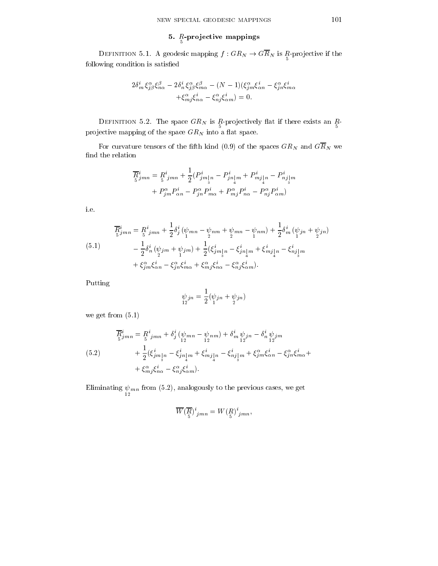#### $\sigma$ .  $R$  projective mappings

 $\frac{1}{2}$  and  $\frac{1}{2}$  if  $\frac{1}{2}$  if  $\frac{1}{2}$  if  $\frac{1}{2}$  if  $\frac{1}{2}$  if  $\frac{1}{2}$  if  $\frac{1}{2}$  if  $\frac{1}{2}$  if  $\frac{1}{2}$  if  $\frac{1}{2}$  if  $\frac{1}{2}$  if  $\frac{1}{2}$  if  $\frac{1}{2}$  if  $\frac{1}{2}$  if  $\frac{1}{2}$  if  $\frac{1}{2}$  if following condition is satisfied

$$
2\delta_m^i \xi_{j\beta}^{\alpha} \xi_{n\alpha}^{\beta} - 2\delta_n^i \xi_{j\beta}^{\alpha} \xi_{m\alpha}^{\beta} - (N-1)(\xi_{j\,m}^{\alpha} \xi_{\alpha n}^i - \xi_{j\,n}^{\alpha} \xi_{m\alpha}^i
$$

$$
+ \xi_{mj}^{\alpha} \xi_{n\alpha}^i - \xi_{nj}^{\alpha} \xi_{\alpha m}^i = 0.
$$

 $\frac{1}{5}$   $\frac{1}{5}$   $\frac{1}{5}$   $\frac{1}{5}$   $\frac{1}{5}$   $\frac{1}{5}$   $\frac{1}{5}$   $\frac{1}{5}$   $\frac{1}{5}$ pro jective mapping processes the space. We would consider the space GRN into a space  $\alpha$ 

For curvature tensors of the fifth kind (0.9) of the spaces  $GR_N$  and  $G\overline{R}_N$  we find the relation

$$
\overline{R}_{jmn}^{i} = R_{j\,mn}^{i} + \frac{1}{2} (P_{jm\,|n}^{i} - P_{jn\,|m}^{i} + P_{mj\,|n}^{i} - P_{nj\,|m}^{i} + P_{jm\,|m}^{\alpha} - P_{jm\,|m}^{\alpha} - P_{jm}^{\alpha} P_{m\alpha}^{i} + P_{mj}^{\alpha} P_{n\alpha}^{i} - P_{nj}^{\alpha} P_{\alpha m}^{i})
$$

i.e.

(5.1)  
\n
$$
\overline{R}_{jmn}^{i} = R_{jmn}^{i} + \frac{1}{2} \delta_j^{i} (\psi_{mn} - \psi_{nm} + \psi_{mn} - \psi_{nm}) + \frac{1}{2} \delta_m^{i} (\psi_{jn} + \psi_{jn}) - \frac{1}{2} \delta_n^{i} (\psi_{jm} + \psi_{jm}) + \frac{1}{2} (\xi_{jm\,n}^{i} - \xi_{jn\,m}^{i} + \xi_{mj\,n}^{i} - \xi_{nj\,m}^{i}) + \xi_{jm}^{\alpha} \xi_{\alpha n}^{i} - \xi_{jn}^{\alpha} \xi_{m\alpha}^{i} + \xi_{mj}^{\alpha} \xi_{\alpha n}^{i} - \xi_{nj}^{\alpha} \xi_{\alpha m}^{i}).
$$

Putting

$$
\psi_{jn} = \frac{1}{2}(\psi_{jn} + \psi_{jn})
$$

we get from (5.1)

(5.2)  
\n
$$
\overline{R}_{5}^{i}_{jmn} = R_{5}^{i}_{jmn} + \delta_{j}^{i} (\psi_{mn} - \psi_{nm}) + \delta_{m}^{i} \psi_{jn} - \delta_{n}^{i} \psi_{jm}
$$
\n
$$
+ \frac{1}{2} (\xi_{jm}^{i}_{jm} - \xi_{jn}^{i}_{m} + \xi_{mj}^{i}_{m}) - \xi_{nj}^{i}_{m} + \xi_{jm}^{\alpha} \xi_{\alpha n}^{i} - \xi_{jn}^{\alpha} \xi_{m\alpha}^{i} + \xi_{mj}^{\alpha} \xi_{m\alpha}^{i} - \xi_{nj}^{\alpha} \xi_{mn}^{i}.
$$

 $\frac{12}{12}$  minutes cases, we get  $\frac{12}{12}$ 

$$
\overline{W}(\overline{R})^i_{jmn} = W({\underset{5}{R}})^i_{jmn},
$$